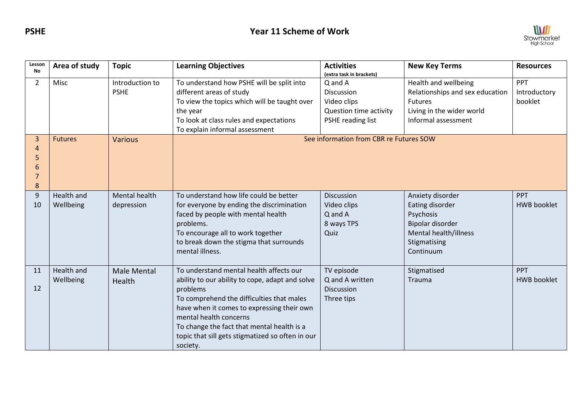

| Lesson<br><b>No</b>   | Area of study           | <b>Topic</b>                   | <b>Learning Objectives</b>                                                                                                                                                                                                                                                                                                                | <b>Activities</b><br>(extra task in brackets)                                       | <b>New Key Terms</b>                                                                                                       | <b>Resources</b>                      |
|-----------------------|-------------------------|--------------------------------|-------------------------------------------------------------------------------------------------------------------------------------------------------------------------------------------------------------------------------------------------------------------------------------------------------------------------------------------|-------------------------------------------------------------------------------------|----------------------------------------------------------------------------------------------------------------------------|---------------------------------------|
| $\overline{2}$        | Misc                    | Introduction to<br><b>PSHE</b> | To understand how PSHE will be split into<br>different areas of study<br>To view the topics which will be taught over<br>the year<br>To look at class rules and expectations<br>To explain informal assessment                                                                                                                            | Q and A<br>Discussion<br>Video clips<br>Question time activity<br>PSHE reading list | Health and wellbeing<br>Relationships and sex education<br>Futures<br>Living in the wider world<br>Informal assessment     | <b>PPT</b><br>Introductory<br>booklet |
| 3<br>4<br>5<br>6<br>8 | <b>Futures</b>          | <b>Various</b>                 |                                                                                                                                                                                                                                                                                                                                           | See information from CBR re Futures SOW                                             |                                                                                                                            |                                       |
| 9<br>10               | Health and<br>Wellbeing | Mental health<br>depression    | To understand how life could be better<br>for everyone by ending the discrimination<br>faced by people with mental health<br>problems.<br>To encourage all to work together<br>to break down the stigma that surrounds<br>mental illness.                                                                                                 | Discussion<br>Video clips<br>Q and A<br>8 ways TPS<br>Quiz                          | Anxiety disorder<br>Eating disorder<br>Psychosis<br>Bipolar disorder<br>Mental health/illness<br>Stigmatising<br>Continuum | PPT<br><b>HWB</b> booklet             |
| 11<br>12              | Health and<br>Wellbeing | <b>Male Mental</b><br>Health   | To understand mental health affects our<br>ability to our ability to cope, adapt and solve<br>problems<br>To comprehend the difficulties that males<br>have when it comes to expressing their own<br>mental health concerns<br>To change the fact that mental health is a<br>topic that sill gets stigmatized so often in our<br>society. | TV episode<br>Q and A written<br>Discussion<br>Three tips                           | Stigmatised<br>Trauma                                                                                                      | PPT<br><b>HWB</b> booklet             |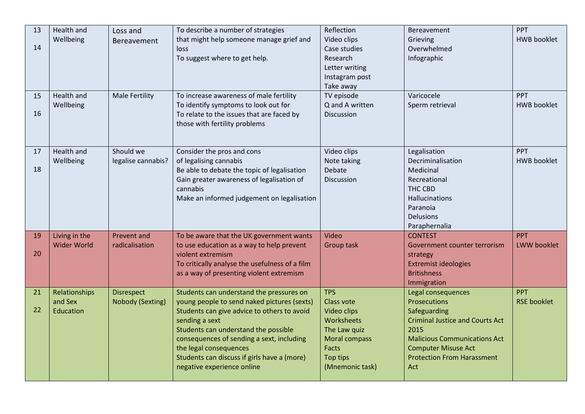| 13<br>14 | Health and<br>Wellbeing               | Loss and<br>Bereavement               | To describe a number of strategies<br>that might help someone manage grief and<br>loss<br>To suggest where to get help.                                                                                                                                                                                                                              | Reflection<br>Video clips<br>Case studies<br>Research<br>Letter writing<br>Instagram post<br>Take away                                | <b>Bereavement</b><br>Grieving<br>Overwhelmed<br>Infographic                                                                                                                                                          | PPT<br><b>HWB</b> booklet |
|----------|---------------------------------------|---------------------------------------|------------------------------------------------------------------------------------------------------------------------------------------------------------------------------------------------------------------------------------------------------------------------------------------------------------------------------------------------------|---------------------------------------------------------------------------------------------------------------------------------------|-----------------------------------------------------------------------------------------------------------------------------------------------------------------------------------------------------------------------|---------------------------|
| 15<br>16 | Health and<br>Wellbeing               | <b>Male Fertility</b>                 | To increase awareness of male fertility<br>To identify symptoms to look out for<br>To relate to the issues that are faced by<br>those with fertility problems                                                                                                                                                                                        | TV episode<br>Q and A written<br>Discussion                                                                                           | Varicocele<br>Sperm retrieval                                                                                                                                                                                         | PPT<br><b>HWB</b> booklet |
| 17<br>18 | Health and<br>Wellbeing               | Should we<br>legalise cannabis?       | Consider the pros and cons<br>of legalising cannabis<br>Be able to debate the topic of legalisation<br>Gain greater awareness of legalisation of<br>cannabis<br>Make an informed judgement on legalisation                                                                                                                                           | Video clips<br>Note taking<br>Debate<br>Discussion                                                                                    | Legalisation<br>Decriminalisation<br>Medicinal<br>Recreational<br>THC CBD<br><b>Hallucinations</b><br>Paranoia<br><b>Delusions</b><br>Paraphernalia                                                                   | PPT<br><b>HWB</b> booklet |
| 19<br>20 | Living in the<br><b>Wider World</b>   | <b>Prevent and</b><br>radicalisation  | To be aware that the UK government wants<br>to use education as a way to help prevent<br>violent extremism<br>To critically analyse the usefulness of a film<br>as a way of presenting violent extremism                                                                                                                                             | Video<br>Group task                                                                                                                   | <b>CONTEST</b><br>Government counter terrorism<br>strategy<br><b>Extremist ideologies</b><br><b>Britishness</b><br>Immigration                                                                                        | PPT<br>LWW booklet        |
| 21<br>22 | Relationships<br>and Sex<br>Education | <b>Disrespect</b><br>Nobody (Sexting) | Students can understand the pressures on<br>young people to send naked pictures (sexts)<br>Students can give advice to others to avoid<br>sending a sext<br>Students can understand the possible<br>consequences of sending a sext, including<br>the legal consequences<br>Students can discuss if girls have a (more)<br>negative experience online | <b>TPS</b><br>Class vote<br>Video clips<br>Worksheets<br>The Law quiz<br><b>Moral compass</b><br>Facts<br>Top tips<br>(Mnemonic task) | Legal consequences<br>Prosecutions<br>Safeguarding<br><b>Criminal Justice and Courts Act</b><br>2015<br><b>Malicious Communications Act</b><br><b>Computer Misuse Act</b><br><b>Protection From Harassment</b><br>Act | PPT<br><b>RSE booklet</b> |